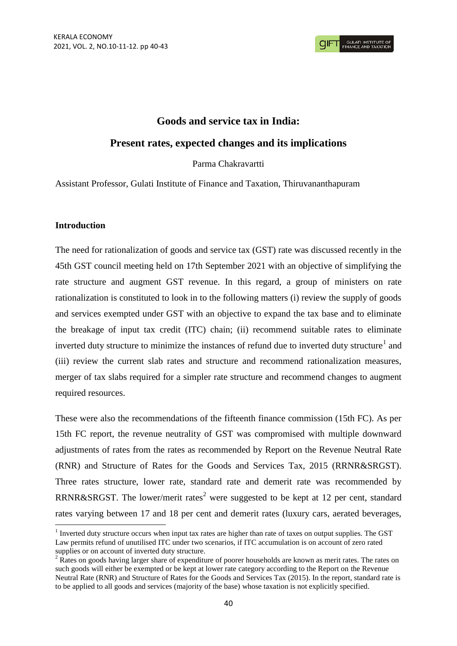# **Goods and service tax in India:**

# **Present rates, expected changes and its implications**

Parma Chakravartti

Assistant Professor, Gulati Institute of Finance and Taxation, Thiruvananthapuram

### **Introduction**

**.** 

The need for rationalization of goods and service tax (GST) rate was discussed recently in the 45th GST council meeting held on 17th September 2021 with an objective of simplifying the rate structure and augment GST revenue. In this regard, a group of ministers on rate rationalization is constituted to look in to the following matters (i) review the supply of goods and services exempted under GST with an objective to expand the tax base and to eliminate the breakage of input tax credit (ITC) chain; (ii) recommend suitable rates to eliminate inverted duty structure to minimize the instances of refund due to inverted duty structure<sup>1</sup> and (iii) review the current slab rates and structure and recommend rationalization measures, merger of tax slabs required for a simpler rate structure and recommend changes to augment required resources.

These were also the recommendations of the fifteenth finance commission (15th FC). As per 15th FC report, the revenue neutrality of GST was compromised with multiple downward adjustments of rates from the rates as recommended by Report on the Revenue Neutral Rate (RNR) and Structure of Rates for the Goods and Services Tax, 2015 (RRNR&SRGST). Three rates structure, lower rate, standard rate and demerit rate was recommended by RRNR&SRGST. The lower/merit rates<sup>2</sup> were suggested to be kept at 12 per cent, standard rates varying between 17 and 18 per cent and demerit rates (luxury cars, aerated beverages,

<sup>&</sup>lt;sup>1</sup> Inverted duty structure occurs when input tax rates are higher than rate of taxes on output supplies. The GST Law permits refund of unutilised ITC under two scenarios, if ITC accumulation is on account of zero rated supplies or on account of inverted duty structure.

 $2 \text{ Rates}$  on goods having larger share of expenditure of poorer households are known as merit rates. The rates on such goods will either be exempted or be kept at lower rate category according to the Report on the Revenue Neutral Rate (RNR) and Structure of Rates for the Goods and Services Tax (2015). In the report, standard rate is to be applied to all goods and services (majority of the base) whose taxation is not explicitly specified.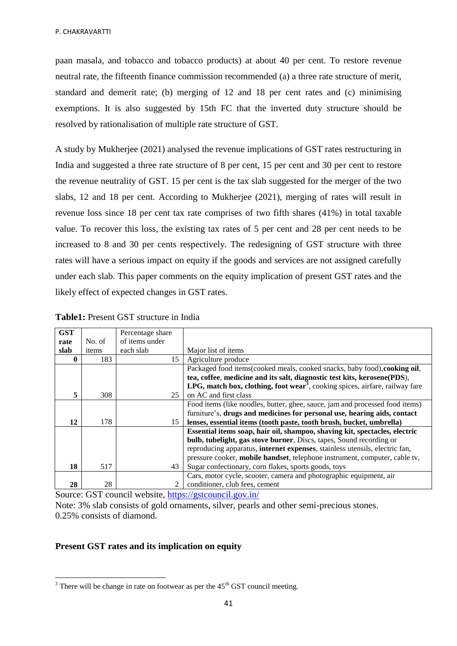paan masala, and tobacco and tobacco products) at about 40 per cent. To restore revenue neutral rate, the fifteenth finance commission recommended (a) a three rate structure of merit, standard and demerit rate; (b) merging of 12 and 18 per cent rates and (c) minimising exemptions. It is also suggested by 15th FC that the inverted duty structure should be resolved by rationalisation of multiple rate structure of GST.

A study by Mukherjee (2021) analysed the revenue implications of GST rates restructuring in India and suggested a three rate structure of 8 per cent, 15 per cent and 30 per cent to restore the revenue neutrality of GST. 15 per cent is the tax slab suggested for the merger of the two slabs, 12 and 18 per cent. According to Mukherjee (2021), merging of rates will result in revenue loss since 18 per cent tax rate comprises of two fifth shares (41%) in total taxable value. To recover this loss, the existing tax rates of 5 per cent and 28 per cent needs to be increased to 8 and 30 per cents respectively. The redesigning of GST structure with three rates will have a serious impact on equity if the goods and services are not assigned carefully under each slab. This paper comments on the equity implication of present GST rates and the likely effect of expected changes in GST rates.

| <b>GST</b> |        | Percentage share |                                                                                          |
|------------|--------|------------------|------------------------------------------------------------------------------------------|
| rate       | No. of | of items under   |                                                                                          |
| slab       | items  | each slab        | Major list of items                                                                      |
| 0          | 183    | 15               | Agriculture produce                                                                      |
|            |        |                  | Packaged food items(cooked meals, cooked snacks, baby food), cooking oil,                |
|            |        |                  | tea, coffee, medicine and its salt, diagnostic test kits, kerosene(PDS),                 |
|            |        |                  | LPG, match box, clothing, foot wear <sup>3</sup> , cooking spices, airfare, railway fare |
| 5          | 308    | 25               | on AC and first class                                                                    |
|            |        |                  | Food items (like noodles, butter, ghee, sauce, jam and processed food items)             |
|            |        |                  | furniture's, drugs and medicines for personal use, hearing aids, contact                 |
| 12         | 178    | 15               | lenses, essential items (tooth paste, tooth brush, bucket, umbrella)                     |
|            |        |                  | Essential items soap, hair oil, shampoo, shaving kit, spectacles, electric               |
|            |        |                  | bulb, tubelight, gas stove burner, Discs, tapes, Sound recording or                      |
|            |        |                  | reproducing apparatus, internet expenses, stainless utensils, electric fan,              |
|            |        |                  | pressure cooker, mobile handset, telephone instrument, computer, cable tv,               |
| 18         | 517    | 43               | Sugar confectionary, corn flakes, sports goods, toys                                     |
|            |        |                  | Cars, motor cycle, scooter, camera and photographic equipment, air                       |
| 28         | 28     | 2                | conditioner, club fees, cement                                                           |

**Table1:** Present GST structure in India

Source: GST council website,<https://gstcouncil.gov.in/>

Note: 3% slab consists of gold ornaments, silver, pearls and other semi-precious stones. 0.25% consists of diamond.

## **Present GST rates and its implication on equity**

**.** 

 $3$  There will be change in rate on footwear as per the  $45<sup>th</sup>$  GST council meeting.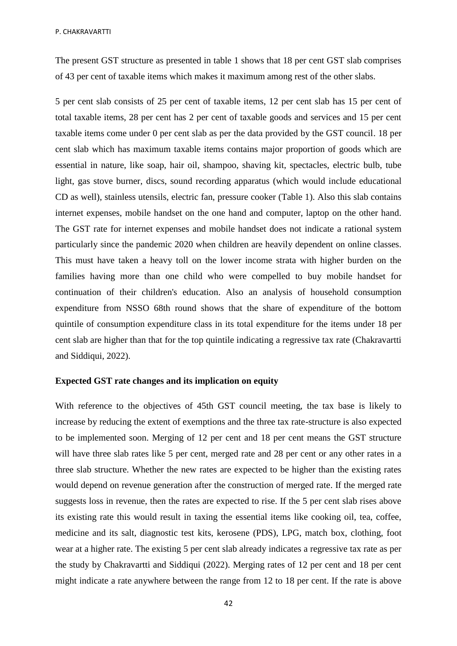P. CHAKRAVARTTI

The present GST structure as presented in table 1 shows that 18 per cent GST slab comprises of 43 per cent of taxable items which makes it maximum among rest of the other slabs.

5 per cent slab consists of 25 per cent of taxable items, 12 per cent slab has 15 per cent of total taxable items, 28 per cent has 2 per cent of taxable goods and services and 15 per cent taxable items come under 0 per cent slab as per the data provided by the GST council. 18 per cent slab which has maximum taxable items contains major proportion of goods which are essential in nature, like soap, hair oil, shampoo, shaving kit, spectacles, electric bulb, tube light, gas stove burner, discs, sound recording apparatus (which would include educational CD as well), stainless utensils, electric fan, pressure cooker (Table 1). Also this slab contains internet expenses, mobile handset on the one hand and computer, laptop on the other hand. The GST rate for internet expenses and mobile handset does not indicate a rational system particularly since the pandemic 2020 when children are heavily dependent on online classes. This must have taken a heavy toll on the lower income strata with higher burden on the families having more than one child who were compelled to buy mobile handset for continuation of their children's education. Also an analysis of household consumption expenditure from NSSO 68th round shows that the share of expenditure of the bottom quintile of consumption expenditure class in its total expenditure for the items under 18 per cent slab are higher than that for the top quintile indicating a regressive tax rate (Chakravartti and Siddiqui, 2022).

### **Expected GST rate changes and its implication on equity**

With reference to the objectives of 45th GST council meeting, the tax base is likely to increase by reducing the extent of exemptions and the three tax rate-structure is also expected to be implemented soon. Merging of 12 per cent and 18 per cent means the GST structure will have three slab rates like 5 per cent, merged rate and 28 per cent or any other rates in a three slab structure. Whether the new rates are expected to be higher than the existing rates would depend on revenue generation after the construction of merged rate. If the merged rate suggests loss in revenue, then the rates are expected to rise. If the 5 per cent slab rises above its existing rate this would result in taxing the essential items like cooking oil, tea, coffee, medicine and its salt, diagnostic test kits, kerosene (PDS), LPG, match box, clothing, foot wear at a higher rate. The existing 5 per cent slab already indicates a regressive tax rate as per the study by Chakravartti and Siddiqui (2022). Merging rates of 12 per cent and 18 per cent might indicate a rate anywhere between the range from 12 to 18 per cent. If the rate is above